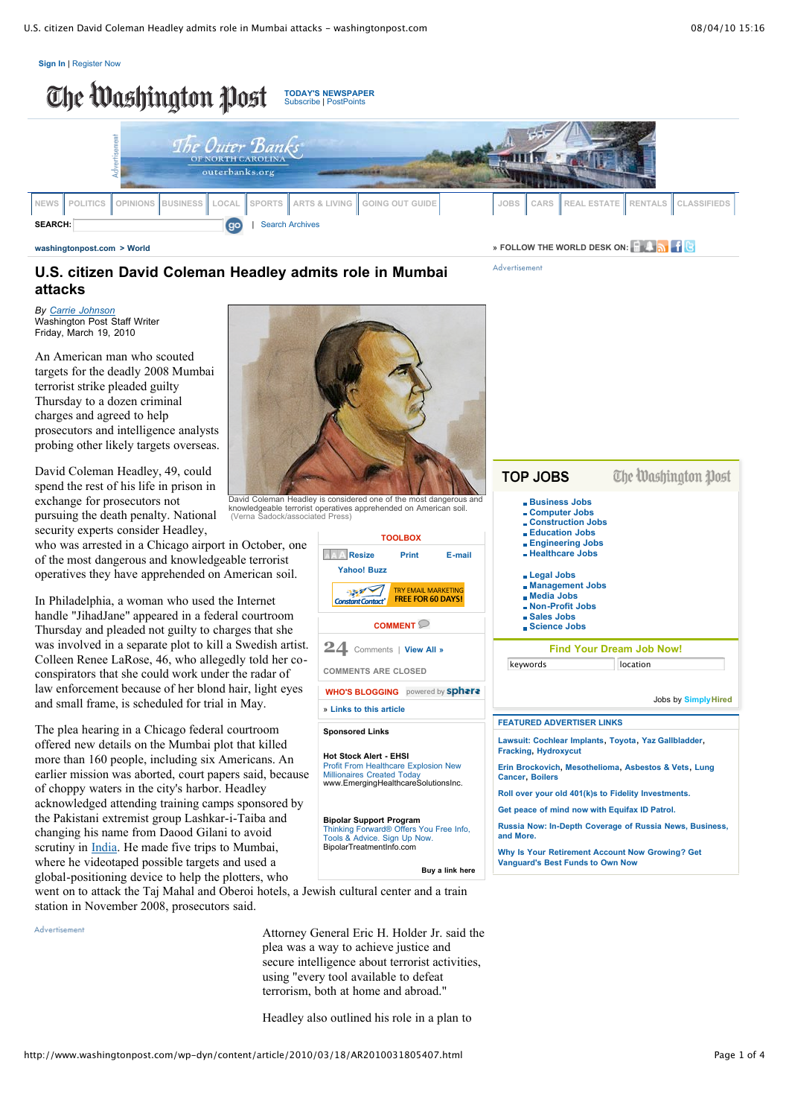



**[washingtonpost.com](http://www.washingtonpost.com/)** > [World](http://www.washingtonpost.com/wp-dyn/content/world/index.html) **Burner CONSIDER ASSESS ASSESS ASSESS ASSESS ASSESS AND <b>PERMORLD** DESK ON:

Advertisement

TOP JOBS

# **U.S. citizen David Coleman Headley admits role in Mumbai attacks**

*By Carrie [Johnson](http://projects.washingtonpost.com/staff/articles/carrie+johnson/)* Washington Post Staff Writer Friday, March 19, 2010

An American man who scouted targets for the deadly 2008 Mumbai terrorist strike pleaded guilty Thursday to a dozen criminal charges and agreed to help prosecutors and intelligence analysts probing other likely targets overseas.

David Coleman Headley, 49, could spend the rest of his life in prison in exchange for prosecutors not pursuing the death penalty. National security experts consider Headley,

who was arrested in a Chicago airport in October, one of the most dangerous and knowledgeable terrorist operatives they have apprehended on American soil.

In Philadelphia, a woman who used the Internet handle "JihadJane" appeared in a federal courtroom Thursday and pleaded not guilty to charges that she was involved in a separate plot to kill a Swedish artist. Colleen Renee LaRose, 46, who allegedly told her coconspirators that she could work under the radar of law enforcement because of her blond hair, light eyes and small frame, is scheduled for trial in May.

The plea hearing in a Chicago federal courtroom offered new details on the Mumbai plot that killed more than 160 people, including six Americans. An earlier mission was aborted, court papers said, because of choppy waters in the city's harbor. Headley acknowledged attending training camps sponsored by the Pakistani extremist group Lashkar-i-Taiba and changing his name from Daood Gilani to avoid scrutiny in [India](http://www.washingtonpost.com/wp-srv/world/countries/india.html?nav=el). He made five trips to Mumbai, where he videotaped possible targets and used a global-positioning device to help the plotters, who



David Coleman Headley is considered one of the most dangerous and knowledgeable terrorist operatives apprehended on American soil. (Verna Sadock/associated Press)



| <b>Business Jobs</b><br>- Computer Jobs<br>- Construction Jobs<br><b>Education Jobs</b><br><b>Engineering Jobs</b><br>- Healthcare Jobs |                                                         |  |  |  |
|-----------------------------------------------------------------------------------------------------------------------------------------|---------------------------------------------------------|--|--|--|
| Legal Jobs<br><b>Management Jobs</b><br>. Media Jobs<br>- Non-Profit Jobs<br><b>Sales Jobs</b><br><b>Science Jobs</b>                   |                                                         |  |  |  |
| <b>Find Your Dream Job Now!</b>                                                                                                         |                                                         |  |  |  |
| keywords                                                                                                                                | location                                                |  |  |  |
|                                                                                                                                         | Jobs by Simply Hired                                    |  |  |  |
| <b>FEATURED ADVERTISER LINKS</b>                                                                                                        |                                                         |  |  |  |
| Lawsuit: Cochlear Implants, Toyota, Yaz Gallbladder,<br><b>Fracking, Hydroxycut</b>                                                     |                                                         |  |  |  |
|                                                                                                                                         |                                                         |  |  |  |
| Erin Brockovich, Mesothelioma, Asbestos & Vets, Lung<br><b>Cancer, Boilers</b>                                                          |                                                         |  |  |  |
| Roll over your old 401(k)s to Fidelity Investments.                                                                                     |                                                         |  |  |  |
| Get peace of mind now with Equifax ID Patrol.                                                                                           |                                                         |  |  |  |
| and More.                                                                                                                               | Russia Now: In-Depth Coverage of Russia News, Business, |  |  |  |
| Why Is Your Retirement Account Now Growing? Get<br><b>Vanguard's Best Funds to Own Now</b>                                              |                                                         |  |  |  |

The Machinaton North

went on to attack the Taj Mahal and Oberoi hotels, a Jewish cultural center and a train station in November 2008, prosecutors said.

Advertisement

Attorney General Eric H. Holder Jr. said the plea was a way to achieve justice and secure intelligence about terrorist activities, using "every tool available to defeat terrorism, both at home and abroad."

Headley also outlined his role in a plan to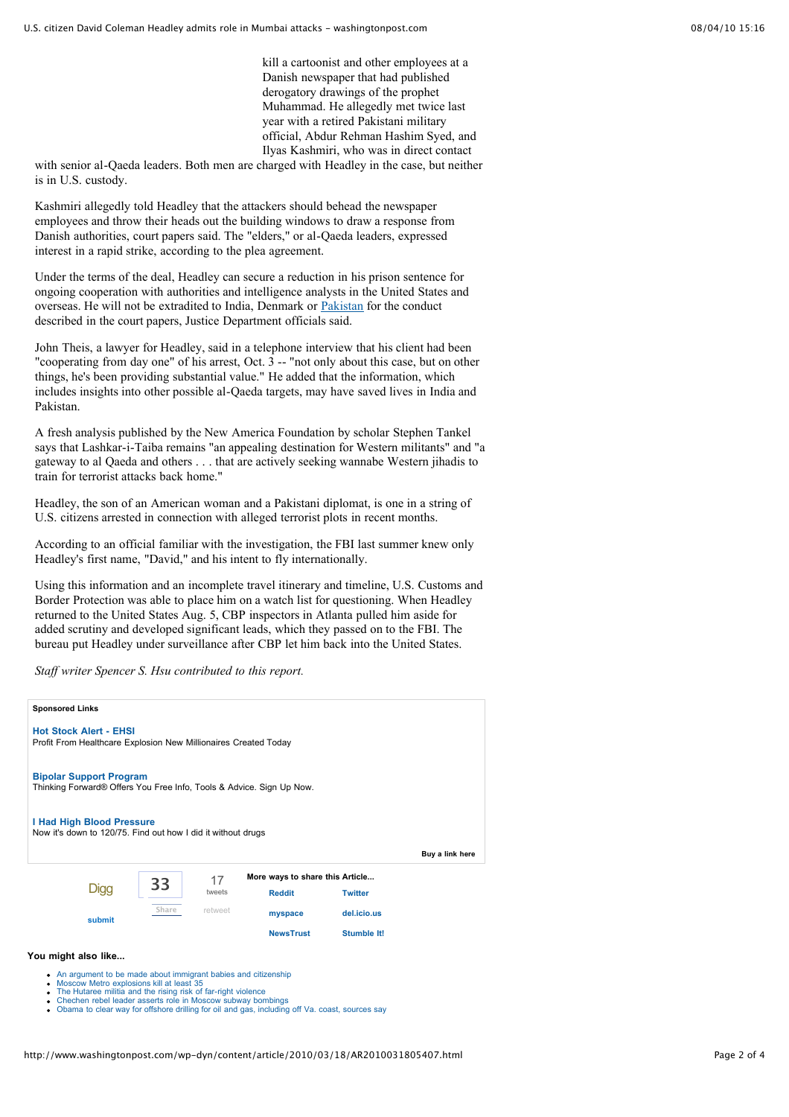kill a cartoonist and other employees at a Danish newspaper that had published derogatory drawings of the prophet Muhammad. He allegedly met twice last year with a retired Pakistani military official, Abdur Rehman Hashim Syed, and Ilyas Kashmiri, who was in direct contact

with senior al-Qaeda leaders. Both men are charged with Headley in the case, but neither is in U.S. custody.

Kashmiri allegedly told Headley that the attackers should behead the newspaper employees and throw their heads out the building windows to draw a response from Danish authorities, court papers said. The "elders," or al-Qaeda leaders, expressed interest in a rapid strike, according to the plea agreement.

Under the terms of the deal, Headley can secure a reduction in his prison sentence for ongoing cooperation with authorities and intelligence analysts in the United States and overseas. He will not be extradited to India, Denmark or [Pakistan](http://www.washingtonpost.com/wp-srv/world/countries/pakistan.html?nav=el) for the conduct described in the court papers, Justice Department officials said.

John Theis, a lawyer for Headley, said in a telephone interview that his client had been "cooperating from day one" of his arrest, Oct. 3 -- "not only about this case, but on other things, he's been providing substantial value." He added that the information, which includes insights into other possible al-Qaeda targets, may have saved lives in India and Pakistan.

A fresh analysis published by the New America Foundation by scholar Stephen Tankel says that Lashkar-i-Taiba remains "an appealing destination for Western militants" and "a gateway to al Qaeda and others . . . that are actively seeking wannabe Western jihadis to train for terrorist attacks back home."

Headley, the son of an American woman and a Pakistani diplomat, is one in a string of U.S. citizens arrested in connection with alleged terrorist plots in recent months.

According to an official familiar with the investigation, the FBI last summer knew only Headley's first name, "David," and his intent to fly internationally.

Using this information and an incomplete travel itinerary and timeline, U.S. Customs and Border Protection was able to place him on a watch list for questioning. When Headley returned to the United States Aug. 5, CBP inspectors in Atlanta pulled him aside for added scrutiny and developed significant leads, which they passed on to the FBI. The bureau put Headley under surveillance after CBP let him back into the United States.

*Staff writer Spencer S. Hsu contributed to this report.*

| <b>Sponsored Links</b>                                                                                                              |        |               |                                 |             |                 |  |  |
|-------------------------------------------------------------------------------------------------------------------------------------|--------|---------------|---------------------------------|-------------|-----------------|--|--|
| <b>Hot Stock Alert - EHSI</b><br>Profit From Healthcare Explosion New Millionaires Created Today                                    |        |               |                                 |             |                 |  |  |
| <b>Bipolar Support Program</b><br>Thinking Forward® Offers You Free Info, Tools & Advice. Sign Up Now.<br>I Had High Blood Pressure |        |               |                                 |             |                 |  |  |
| Now it's down to 120/75. Find out how I did it without drugs                                                                        |        |               |                                 |             | Buy a link here |  |  |
|                                                                                                                                     |        | 17            | More ways to share this Article |             |                 |  |  |
| 33<br>Digg<br>Share<br>submit                                                                                                       | tweets | <b>Reddit</b> | <b>Twitter</b>                  |             |                 |  |  |
|                                                                                                                                     |        | retweet       | myspace                         | del.icio.us |                 |  |  |
|                                                                                                                                     |        |               | <b>NewsTrust</b>                | Stumble It! |                 |  |  |
| You might also like                                                                                                                 |        |               |                                 |             |                 |  |  |

An argument to be made about immigrant babies and [citizenship](http://traffic.outbrain.com/network/redir?key=6bc7583ade55bd53ce1589cc16b900b1&rdid=113713186&type=MV_def&in-site=true&req_id=68e9abab215f8f382e8bfcd43f1d81c8&fp=false&am=get&agent=blog_JS_rec&version=6.0.1&idx=0)

- Moscow Metro [explosions](http://traffic.outbrain.com/network/redir?key=ee4096339d9d465cf820b9d47e7411ec&rdid=113713186&type=IMP_D2D_def&in-site=true&req_id=68e9abab215f8f382e8bfcd43f1d81c8&fp=false&am=get&agent=blog_JS_rec&version=6.0.1&idx=1) kill at least 35
- 
- The Hutaree militia and the rising risk of far-right [violence](http://traffic.outbrain.com/network/redir?key=3a6e4304574c3d5bc4acd6fe3778f87b&rdid=113713186&type=IMP_D2D_def&in-site=true&req_id=68e9abab215f8f382e8bfcd43f1d81c8&fp=false&am=get&agent=blog_JS_rec&version=6.0.1&idx=2)<br>Chechen rebel leader asserts role in Moscow subway [bombings](http://traffic.outbrain.com/network/redir?key=604fc4a9bce205a0cefbbb773cde8184&rdid=113713186&type=IMP_D2D_def&in-site=true&req_id=68e9abab215f8f382e8bfcd43f1d81c8&fp=false&am=get&agent=blog_JS_rec&version=6.0.1&idx=3)<br>Obama to clear way for offshore drilling for oil and gas, [including](http://traffic.outbrain.com/network/redir?key=b8bf5fb5bc9e7f25cb99ef53282c5c9a&rdid=113713186&type=IMP_D2D_def&in-site=true&req_id=68e9abab215f8f382e8bfcd43f1d81c8&fp=false&am=get&agent=blog_JS_rec&version=6.0.1&idx=4) off Va. coast, sources say